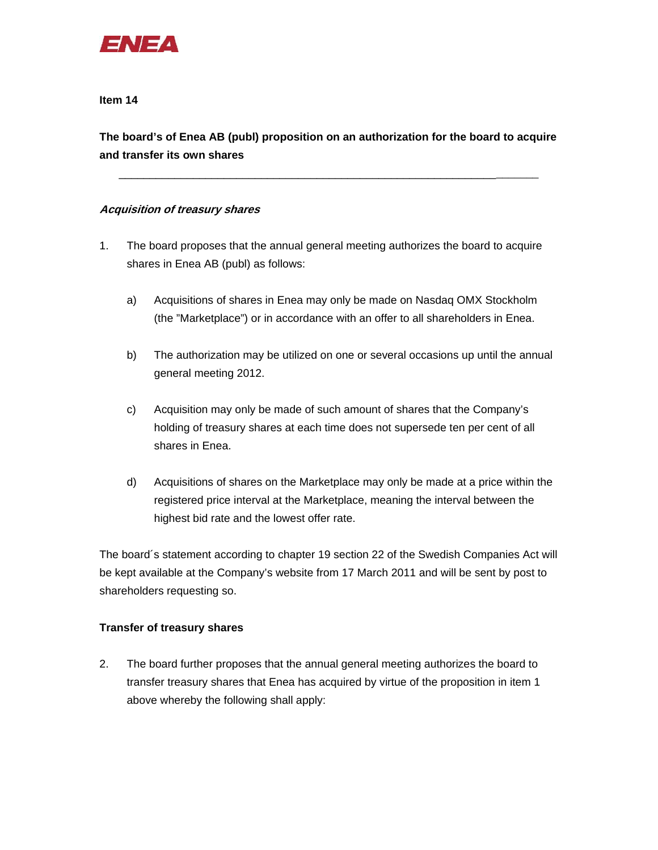

**The board's of Enea AB (publ) proposition on an authorization for the board to acquire and transfer its own shares** 

\_\_\_\_\_\_\_\_\_\_\_\_\_\_\_\_\_\_\_\_\_\_\_\_\_\_\_\_\_\_\_\_\_\_\_\_\_\_\_\_\_\_\_\_\_\_\_\_\_\_\_\_\_\_\_\_\_\_\_\_\_\_\_\_\_\_\_\_

## **Acquisition of treasury shares**

- 1. The board proposes that the annual general meeting authorizes the board to acquire shares in Enea AB (publ) as follows:
	- a) Acquisitions of shares in Enea may only be made on Nasdaq OMX Stockholm (the "Marketplace") or in accordance with an offer to all shareholders in Enea.
	- b) The authorization may be utilized on one or several occasions up until the annual general meeting 2012.
	- c) Acquisition may only be made of such amount of shares that the Company's holding of treasury shares at each time does not supersede ten per cent of all shares in Enea.
	- d) Acquisitions of shares on the Marketplace may only be made at a price within the registered price interval at the Marketplace, meaning the interval between the highest bid rate and the lowest offer rate.

The board´s statement according to chapter 19 section 22 of the Swedish Companies Act will be kept available at the Company's website from 17 March 2011 and will be sent by post to shareholders requesting so.

# **Transfer of treasury shares**

2. The board further proposes that the annual general meeting authorizes the board to transfer treasury shares that Enea has acquired by virtue of the proposition in item 1 above whereby the following shall apply: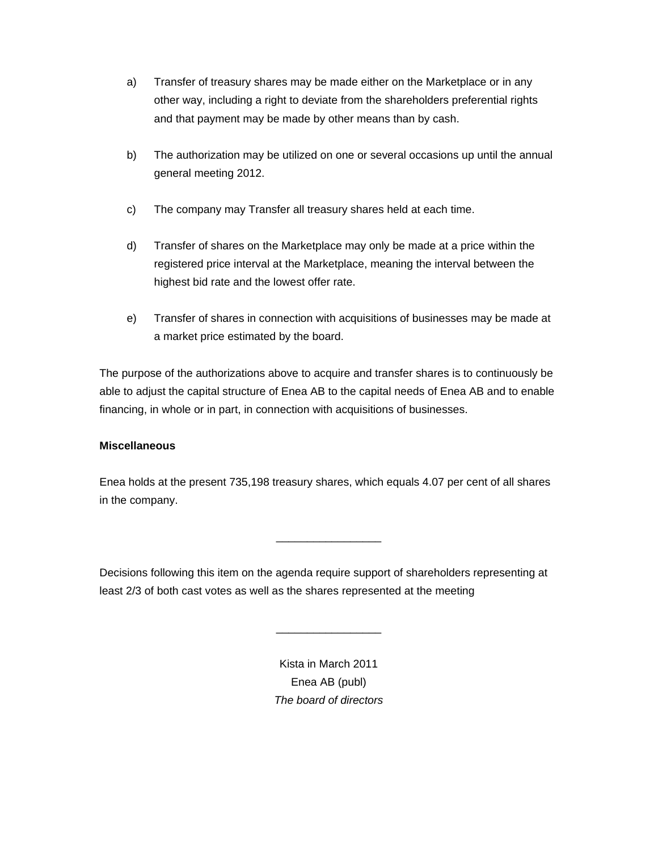- a) Transfer of treasury shares may be made either on the Marketplace or in any other way, including a right to deviate from the shareholders preferential rights and that payment may be made by other means than by cash.
- b) The authorization may be utilized on one or several occasions up until the annual general meeting 2012.
- c) The company may Transfer all treasury shares held at each time.
- d) Transfer of shares on the Marketplace may only be made at a price within the registered price interval at the Marketplace, meaning the interval between the highest bid rate and the lowest offer rate.
- e) Transfer of shares in connection with acquisitions of businesses may be made at a market price estimated by the board.

The purpose of the authorizations above to acquire and transfer shares is to continuously be able to adjust the capital structure of Enea AB to the capital needs of Enea AB and to enable financing, in whole or in part, in connection with acquisitions of businesses.

## **Miscellaneous**

Enea holds at the present 735,198 treasury shares, which equals 4.07 per cent of all shares in the company.

\_\_\_\_\_\_\_\_\_\_\_\_\_\_\_\_\_

Decisions following this item on the agenda require support of shareholders representing at least 2/3 of both cast votes as well as the shares represented at the meeting

> Kista in March 2011 Enea AB (publ) *The board of directors*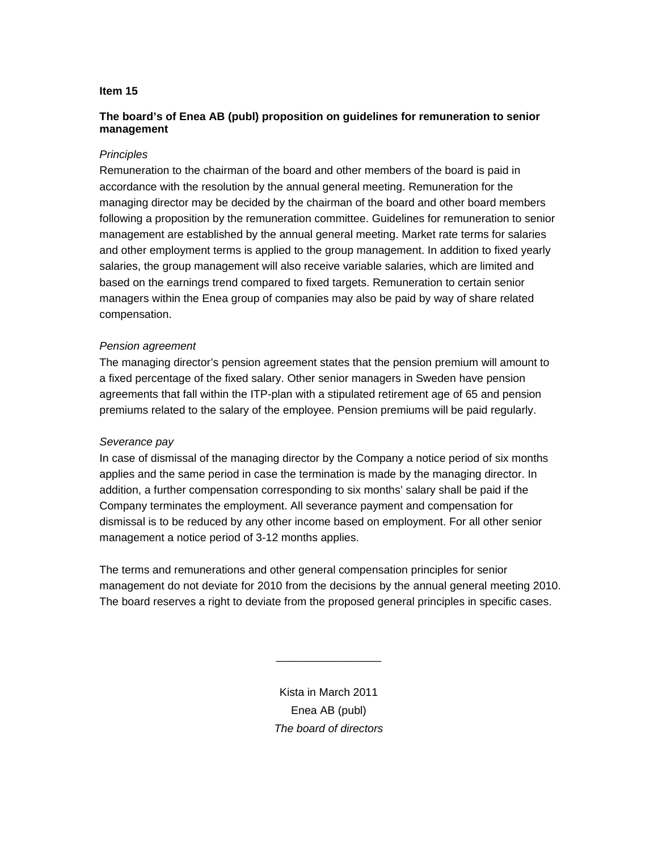## **The board's of Enea AB (publ) proposition on guidelines for remuneration to senior management**

#### *Principles*

Remuneration to the chairman of the board and other members of the board is paid in accordance with the resolution by the annual general meeting. Remuneration for the managing director may be decided by the chairman of the board and other board members following a proposition by the remuneration committee. Guidelines for remuneration to senior management are established by the annual general meeting. Market rate terms for salaries and other employment terms is applied to the group management. In addition to fixed yearly salaries, the group management will also receive variable salaries, which are limited and based on the earnings trend compared to fixed targets. Remuneration to certain senior managers within the Enea group of companies may also be paid by way of share related compensation.

#### *Pension agreement*

The managing director's pension agreement states that the pension premium will amount to a fixed percentage of the fixed salary. Other senior managers in Sweden have pension agreements that fall within the ITP-plan with a stipulated retirement age of 65 and pension premiums related to the salary of the employee. Pension premiums will be paid regularly.

## *Severance pay*

In case of dismissal of the managing director by the Company a notice period of six months applies and the same period in case the termination is made by the managing director. In addition, a further compensation corresponding to six months' salary shall be paid if the Company terminates the employment. All severance payment and compensation for dismissal is to be reduced by any other income based on employment. For all other senior management a notice period of 3-12 months applies.

The terms and remunerations and other general compensation principles for senior management do not deviate for 2010 from the decisions by the annual general meeting 2010. The board reserves a right to deviate from the proposed general principles in specific cases.

> Kista in March 2011 Enea AB (publ) *The board of directors*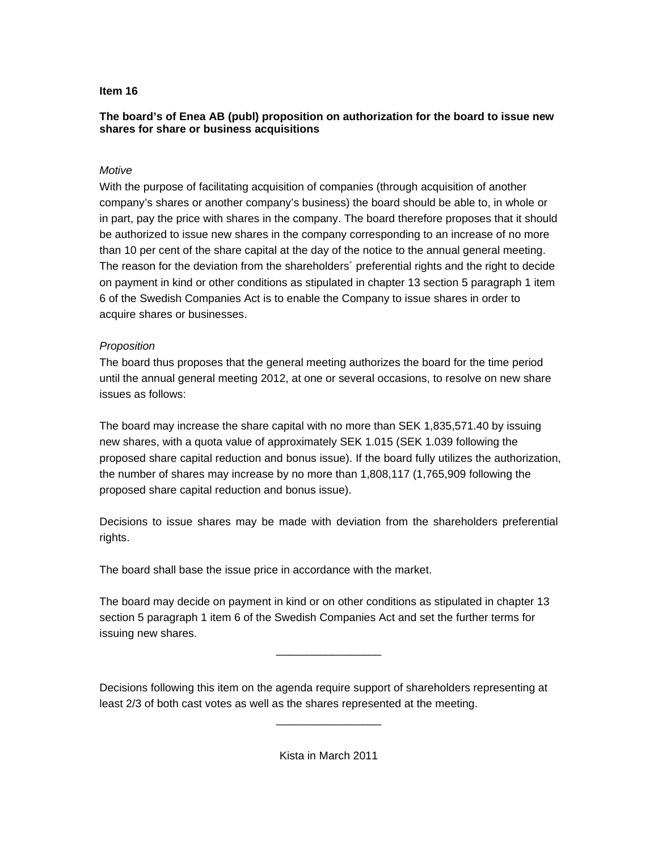## **The board's of Enea AB (publ) proposition on authorization for the board to issue new shares for share or business acquisitions**

## *Motive*

With the purpose of facilitating acquisition of companies (through acquisition of another company's shares or another company's business) the board should be able to, in whole or in part, pay the price with shares in the company. The board therefore proposes that it should be authorized to issue new shares in the company corresponding to an increase of no more than 10 per cent of the share capital at the day of the notice to the annual general meeting. The reason for the deviation from the shareholders´ preferential rights and the right to decide on payment in kind or other conditions as stipulated in chapter 13 section 5 paragraph 1 item 6 of the Swedish Companies Act is to enable the Company to issue shares in order to acquire shares or businesses.

## *Proposition*

The board thus proposes that the general meeting authorizes the board for the time period until the annual general meeting 2012, at one or several occasions, to resolve on new share issues as follows:

The board may increase the share capital with no more than SEK 1,835,571.40 by issuing new shares, with a quota value of approximately SEK 1.015 (SEK 1.039 following the proposed share capital reduction and bonus issue). If the board fully utilizes the authorization, the number of shares may increase by no more than 1,808,117 (1,765,909 following the proposed share capital reduction and bonus issue).

Decisions to issue shares may be made with deviation from the shareholders preferential rights.

The board shall base the issue price in accordance with the market.

The board may decide on payment in kind or on other conditions as stipulated in chapter 13 section 5 paragraph 1 item 6 of the Swedish Companies Act and set the further terms for issuing new shares.

\_\_\_\_\_\_\_\_\_\_\_\_\_\_\_\_\_

Decisions following this item on the agenda require support of shareholders representing at least 2/3 of both cast votes as well as the shares represented at the meeting.

Kista in March 2011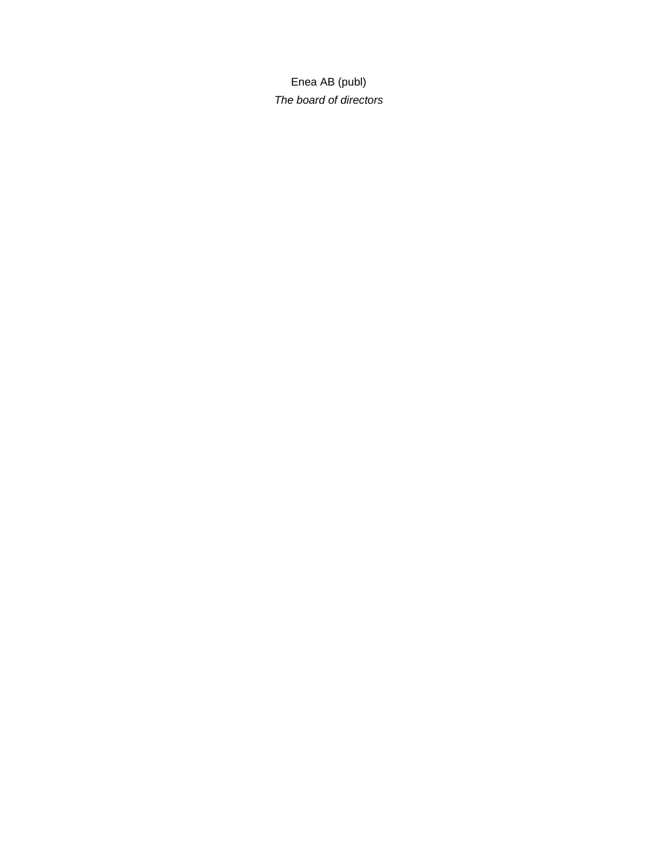Enea AB (publ) *The board of directors*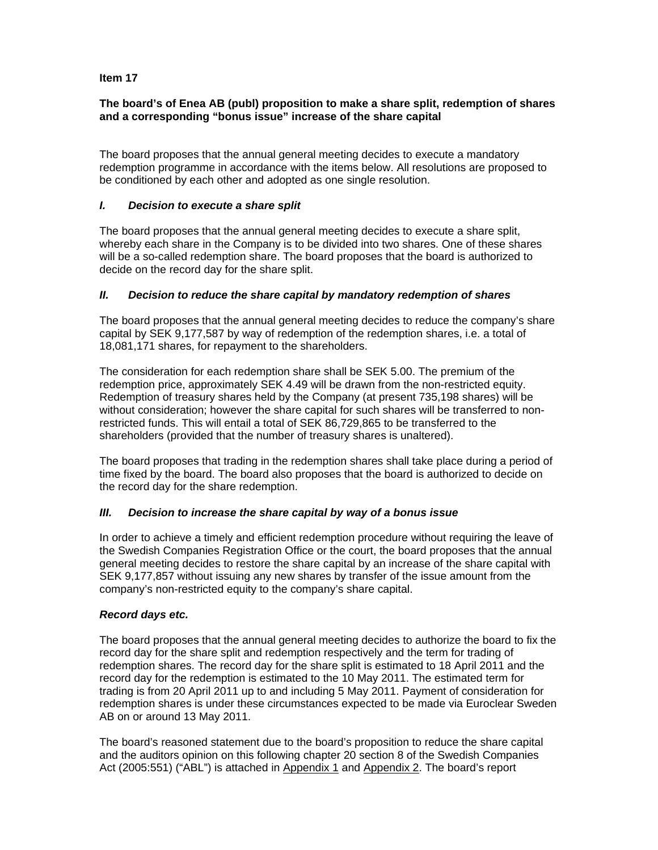## **The board's of Enea AB (publ) proposition to make a share split, redemption of shares and a corresponding "bonus issue" increase of the share capital**

The board proposes that the annual general meeting decides to execute a mandatory redemption programme in accordance with the items below. All resolutions are proposed to be conditioned by each other and adopted as one single resolution.

## *I. Decision to execute a share split*

The board proposes that the annual general meeting decides to execute a share split, whereby each share in the Company is to be divided into two shares. One of these shares will be a so-called redemption share. The board proposes that the board is authorized to decide on the record day for the share split.

# *II. Decision to reduce the share capital by mandatory redemption of shares*

The board proposes that the annual general meeting decides to reduce the company's share capital by SEK 9,177,587 by way of redemption of the redemption shares, i.e. a total of 18,081,171 shares, for repayment to the shareholders.

The consideration for each redemption share shall be SEK 5.00. The premium of the redemption price, approximately SEK 4.49 will be drawn from the non-restricted equity. Redemption of treasury shares held by the Company (at present 735,198 shares) will be without consideration; however the share capital for such shares will be transferred to nonrestricted funds. This will entail a total of SEK 86,729,865 to be transferred to the shareholders (provided that the number of treasury shares is unaltered).

The board proposes that trading in the redemption shares shall take place during a period of time fixed by the board. The board also proposes that the board is authorized to decide on the record day for the share redemption.

## *III. Decision to increase the share capital by way of a bonus issue*

In order to achieve a timely and efficient redemption procedure without requiring the leave of the Swedish Companies Registration Office or the court, the board proposes that the annual general meeting decides to restore the share capital by an increase of the share capital with SEK 9,177,857 without issuing any new shares by transfer of the issue amount from the company's non-restricted equity to the company's share capital.

## *Record days etc.*

The board proposes that the annual general meeting decides to authorize the board to fix the record day for the share split and redemption respectively and the term for trading of redemption shares. The record day for the share split is estimated to 18 April 2011 and the record day for the redemption is estimated to the 10 May 2011. The estimated term for trading is from 20 April 2011 up to and including 5 May 2011. Payment of consideration for redemption shares is under these circumstances expected to be made via Euroclear Sweden AB on or around 13 May 2011.

The board's reasoned statement due to the board's proposition to reduce the share capital and the auditors opinion on this following chapter 20 section 8 of the Swedish Companies Act (2005:551) ("ABL") is attached in Appendix 1 and Appendix 2. The board's report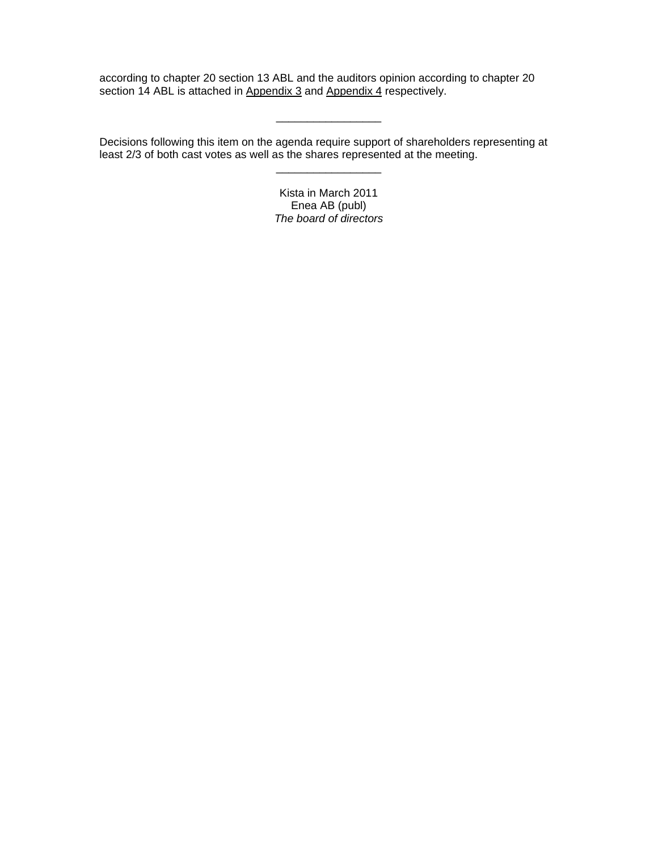according to chapter 20 section 13 ABL and the auditors opinion according to chapter 20 section 14 ABL is attached in Appendix 3 and Appendix 4 respectively.

 $\overline{\phantom{a}}$ 

Decisions following this item on the agenda require support of shareholders representing at least 2/3 of both cast votes as well as the shares represented at the meeting.

> Kista in March 2011 Enea AB (publ) *The board of directors*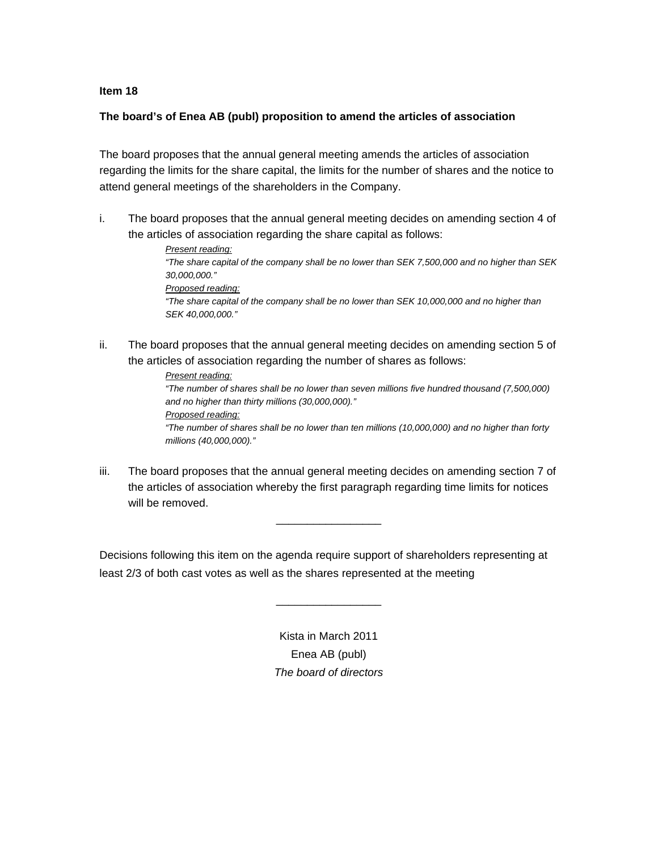## **The board's of Enea AB (publ) proposition to amend the articles of association**

The board proposes that the annual general meeting amends the articles of association regarding the limits for the share capital, the limits for the number of shares and the notice to attend general meetings of the shareholders in the Company.

i. The board proposes that the annual general meeting decides on amending section 4 of the articles of association regarding the share capital as follows:

> *Present reading: "The share capital of the company shall be no lower than SEK 7,500,000 and no higher than SEK 30,000,000." Proposed reading: "The share capital of the company shall be no lower than SEK 10,000,000 and no higher than SEK 40,000,000."*

ii. The board proposes that the annual general meeting decides on amending section 5 of the articles of association regarding the number of shares as follows:

> *Present reading: "The number of shares shall be no lower than seven millions five hundred thousand (7,500,000) and no higher than thirty millions (30,000,000)." Proposed reading: "The number of shares shall be no lower than ten millions (10,000,000) and no higher than forty millions (40,000,000)."*

iii. The board proposes that the annual general meeting decides on amending section 7 of the articles of association whereby the first paragraph regarding time limits for notices will be removed.

\_\_\_\_\_\_\_\_\_\_\_\_\_\_\_\_\_

Decisions following this item on the agenda require support of shareholders representing at least 2/3 of both cast votes as well as the shares represented at the meeting

> Kista in March 2011 Enea AB (publ) *The board of directors*